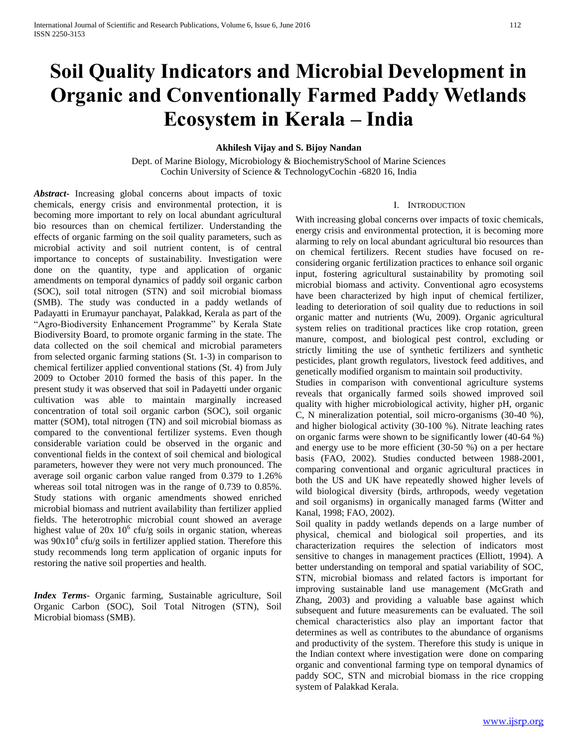# **Soil Quality Indicators and Microbial Development in Organic and Conventionally Farmed Paddy Wetlands Ecosystem in Kerala – India**

## **Akhilesh Vijay and S. Bijoy Nandan**

Dept. of Marine Biology, Microbiology & BiochemistrySchool of Marine Sciences Cochin University of Science & TechnologyCochin -6820 16, India

*Abstract***-** Increasing global concerns about impacts of toxic chemicals, energy crisis and environmental protection, it is becoming more important to rely on local abundant agricultural bio resources than on chemical fertilizer. Understanding the effects of organic farming on the soil quality parameters, such as microbial activity and soil nutrient content, is of central importance to concepts of sustainability. Investigation were done on the quantity, type and application of organic amendments on temporal dynamics of paddy soil organic carbon (SOC), soil total nitrogen (STN) and soil microbial biomass (SMB). The study was conducted in a paddy wetlands of Padayatti in Erumayur panchayat, Palakkad, Kerala as part of the "Agro-Biodiversity Enhancement Programme" by Kerala State Biodiversity Board, to promote organic farming in the state. The data collected on the soil chemical and microbial parameters from selected organic farming stations (St. 1-3) in comparison to chemical fertilizer applied conventional stations (St. 4) from July 2009 to October 2010 formed the basis of this paper. In the present study it was observed that soil in Padayetti under organic cultivation was able to maintain marginally increased concentration of total soil organic carbon (SOC), soil organic matter (SOM), total nitrogen (TN) and soil microbial biomass as compared to the conventional fertilizer systems. Even though considerable variation could be observed in the organic and conventional fields in the context of soil chemical and biological parameters, however they were not very much pronounced. The average soil organic carbon value ranged from 0.379 to 1.26% whereas soil total nitrogen was in the range of 0.739 to 0.85%. Study stations with organic amendments showed enriched microbial biomass and nutrient availability than fertilizer applied fields. The heterotrophic microbial count showed an average highest value of  $20x$   $10^6$  cfu/g soils in organic station, whereas was  $90x10^4$  cfu/g soils in fertilizer applied station. Therefore this study recommends long term application of organic inputs for restoring the native soil properties and health.

*Index Terms*- Organic farming, Sustainable agriculture, Soil Organic Carbon (SOC), Soil Total Nitrogen (STN), Soil Microbial biomass (SMB).

## I. INTRODUCTION

With increasing global concerns over impacts of toxic chemicals, energy crisis and environmental protection, it is becoming more alarming to rely on local abundant agricultural bio resources than on chemical fertilizers. Recent studies have focused on reconsidering organic fertilization practices to enhance soil organic input, fostering agricultural sustainability by promoting soil microbial biomass and activity. Conventional agro ecosystems have been characterized by high input of chemical fertilizer, leading to deterioration of soil quality due to reductions in soil organic matter and nutrients (Wu, 2009). Organic agricultural system relies on traditional practices like crop rotation, green manure, compost, and biological pest control, excluding or strictly limiting the use of synthetic fertilizers and synthetic pesticides, plant growth regulators, livestock feed additives, and genetically modified organism to maintain soil productivity.

Studies in comparison with conventional agriculture systems reveals that organically farmed soils showed improved soil quality with higher microbiological activity, higher pH, organic C, N mineralization potential, soil micro-organisms (30-40 %), and higher biological activity (30-100 %). Nitrate leaching rates on organic farms were shown to be significantly lower (40-64 %) and energy use to be more efficient (30-50 %) on a per hectare basis (FAO, 2002). Studies conducted between 1988-2001, comparing conventional and organic agricultural practices in both the US and UK have repeatedly showed higher levels of wild biological diversity (birds, arthropods, weedy vegetation and soil organisms) in organically managed farms (Witter and Kanal, 1998; FAO, 2002).

Soil quality in paddy wetlands depends on a large number of physical, chemical and biological soil properties, and its characterization requires the selection of indicators most sensitive to changes in management practices (Elliott, 1994). A better understanding on temporal and spatial variability of SOC, STN, microbial biomass and related factors is important for improving sustainable land use management (McGrath and Zhang, 2003) and providing a valuable base against which subsequent and future measurements can be evaluated. The soil chemical characteristics also play an important factor that determines as well as contributes to the abundance of organisms and productivity of the system. Therefore this study is unique in the Indian context where investigation were done on comparing organic and conventional farming type on temporal dynamics of paddy SOC, STN and microbial biomass in the rice cropping system of Palakkad Kerala.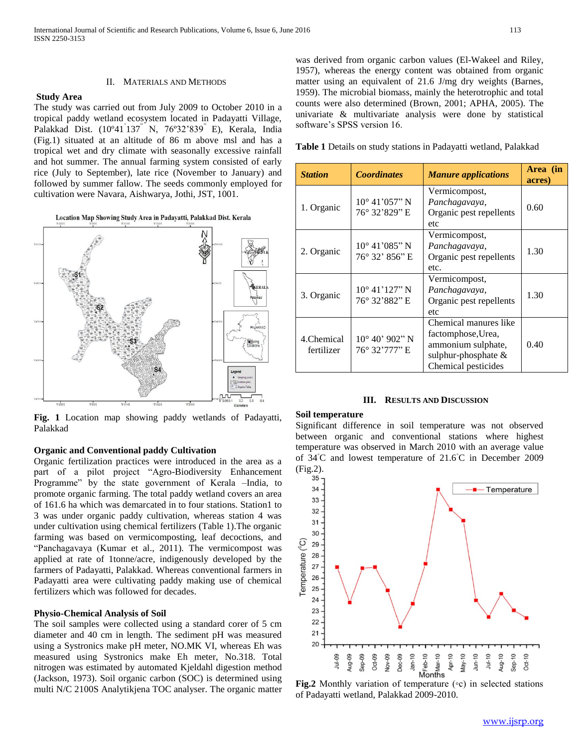#### II. MATERIALS AND METHODS

#### **Study Area**

The study was carried out from July 2009 to October 2010 in a tropical paddy wetland ecosystem located in Padayatti Village, Palakkad Dist. (10º41' 137" N, 76º32'839" E), Kerala, India (Fig.1) situated at an altitude of 86 m above msl and has a tropical wet and dry climate with seasonally excessive rainfall and hot summer. The annual farming system consisted of early rice (July to September), late rice (November to January) and followed by summer fallow. The seeds commonly employed for cultivation were Navara, Aishwarya, Jothi, JST, 1001.

Location Map Showing Study Area in Padayatti, Palakkad Dist. Kerala



**Fig. 1** Location map showing paddy wetlands of Padayatti, Palakkad

## **Organic and Conventional paddy Cultivation**

Organic fertilization practices were introduced in the area as a part of a pilot project "Agro-Biodiversity Enhancement Programme" by the state government of Kerala –India, to promote organic farming. The total paddy wetland covers an area of 161.6 ha which was demarcated in to four stations. Station1 to 3 was under organic paddy cultivation, whereas station 4 was under cultivation using chemical fertilizers (Table 1).The organic farming was based on vermicomposting, leaf decoctions, and "Panchagavaya (Kumar et al., 2011). The vermicompost was applied at rate of 1tonne/acre, indigenously developed by the farmers of Padayatti, Palakkad. Whereas conventional farmers in Padayatti area were cultivating paddy making use of chemical fertilizers which was followed for decades.

#### **Physio-Chemical Analysis of Soil**

The soil samples were collected using a standard corer of 5 cm diameter and 40 cm in length. The sediment pH was measured using a Systronics make pH meter, NO.MK VI, whereas Eh was measured using Systronics make Eh meter, No.318. Total nitrogen was estimated by automated Kjeldahl digestion method (Jackson, 1973). Soil organic carbon (SOC) is determined using multi N/C 2100S Analytikjena TOC analyser. The organic matter was derived from organic carbon values (El-Wakeel and Riley, 1957), whereas the energy content was obtained from organic matter using an equivalent of 21.6 J/mg dry weights (Barnes, 1959). The microbial biomass, mainly the heterotrophic and total counts were also determined (Brown, 2001; APHA, 2005). The univariate & multivariate analysis were done by statistical software's SPSS version 16.

**Table 1** Details on study stations in Padayatti wetland, Palakkad

| <b>Station</b>            | <b>Coordinates</b>                       | <b>Manure applications</b>                                                                                        | Area (in<br>acres) |
|---------------------------|------------------------------------------|-------------------------------------------------------------------------------------------------------------------|--------------------|
| 1. Organic                | $10^{\circ}$ 41'057" N<br>76° 32'829" E  | Vermicompost,<br>Panchagavaya,<br>Organic pest repellents<br>etc                                                  | 0.60               |
| 2. Organic                | $10^{\circ}$ 41'085" N<br>76° 32' 856" E | Vermicompost,<br>Panchagavaya,<br>Organic pest repellents<br>etc.                                                 | 1.30               |
| 3. Organic                | $10^{\circ}$ 41'127" N<br>76° 32'882" E  | Vermicompost,<br>Panchagavaya,<br>Organic pest repellents<br>etc                                                  | 1.30               |
| 4. Chemical<br>fertilizer | $10^{\circ}$ 40' 902" N<br>76° 32'777" E | Chemical manures like<br>factomphose, Urea,<br>ammonium sulphate,<br>sulphur-phosphate $&$<br>Chemical pesticides | 0.40               |

#### **III. RESULTS AND DISCUSSION**

## **Soil temperature**

Significant difference in soil temperature was not observed between organic and conventional stations where highest temperature was observed in March 2010 with an average value of 34◦C and lowest temperature of 21.6◦C in December 2009 (Fig.2).



**Fig.2** Monthly variation of temperature (◦c) in selected stations of Padayatti wetland, Palakkad 2009-2010.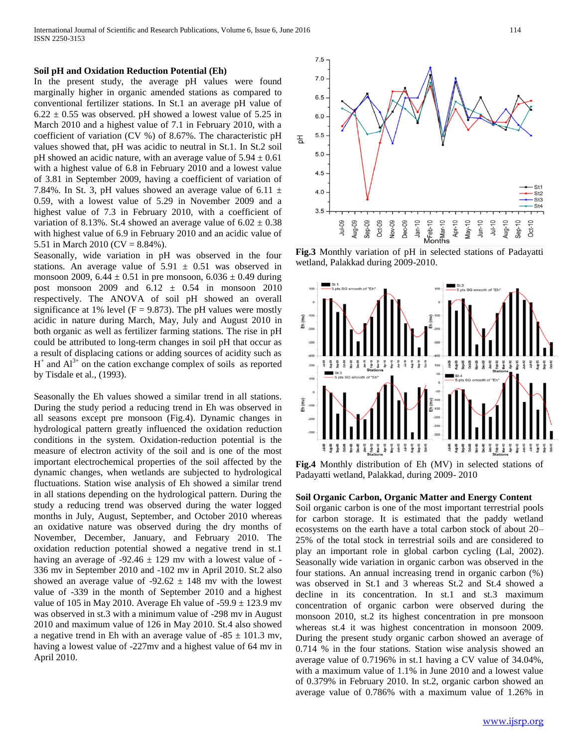#### **Soil pH and Oxidation Reduction Potential (Eh)**

In the present study, the average pH values were found marginally higher in organic amended stations as compared to conventional fertilizer stations. In St.1 an average pH value of  $6.22 \pm 0.55$  was observed. pH showed a lowest value of 5.25 in March 2010 and a highest value of 7.1 in February 2010, with a coefficient of variation (CV %) of 8.67%. The characteristic pH values showed that, pH was acidic to neutral in St.1. In St.2 soil pH showed an acidic nature, with an average value of  $5.94 \pm 0.61$ with a highest value of 6.8 in February 2010 and a lowest value of 3.81 in September 2009, having a coefficient of variation of 7.84%. In St. 3, pH values showed an average value of 6.11  $\pm$ 0.59, with a lowest value of 5.29 in November 2009 and a highest value of 7.3 in February 2010, with a coefficient of variation of 8.13%. St.4 showed an average value of  $6.02 \pm 0.38$ with highest value of 6.9 in February 2010 and an acidic value of 5.51 in March 2010 ( $CV = 8.84\%$ ).

Seasonally, wide variation in pH was observed in the four stations. An average value of  $5.91 \pm 0.51$  was observed in monsoon 2009,  $6.44 \pm 0.51$  in pre monsoon,  $6.036 \pm 0.49$  during post monsoon 2009 and  $6.12 \pm 0.54$  in monsoon 2010 respectively. The ANOVA of soil pH showed an overall significance at 1% level ( $F = 9.873$ ). The pH values were mostly acidic in nature during March, May, July and August 2010 in both organic as well as fertilizer farming stations. The rise in pH could be attributed to long-term changes in soil pH that occur as a result of displacing cations or adding sources of acidity such as  $H^+$  and  $Al^{3+}$  on the cation exchange complex of soils as reported by Tisdale et al., (1993).

Seasonally the Eh values showed a similar trend in all stations. During the study period a reducing trend in Eh was observed in all seasons except pre monsoon (Fig.4). Dynamic changes in hydrological pattern greatly influenced the oxidation reduction conditions in the system. Oxidation-reduction potential is the measure of electron activity of the soil and is one of the most important electrochemical properties of the soil affected by the dynamic changes, when wetlands are subjected to hydrological fluctuations. Station wise analysis of Eh showed a similar trend in all stations depending on the hydrological pattern. During the study a reducing trend was observed during the water logged months in July, August, September, and October 2010 whereas an oxidative nature was observed during the dry months of November, December, January, and February 2010. The oxidation reduction potential showed a negative trend in st.1 having an average of  $-92.46 \pm 129$  mv with a lowest value of  $-$ 336 mv in September 2010 and -102 mv in April 2010. St.2 also showed an average value of  $-92.62 \pm 148$  mv with the lowest value of -339 in the month of September 2010 and a highest value of 105 in May 2010. Average Eh value of  $-59.9 \pm 123.9$  mv was observed in st.3 with a minimum value of -298 mv in August 2010 and maximum value of 126 in May 2010. St.4 also showed a negative trend in Eh with an average value of  $-85 \pm 101.3$  mv, having a lowest value of -227mv and a highest value of 64 mv in April 2010.



**Fig.3** Monthly variation of pH in selected stations of Padayatti wetland, Palakkad during 2009-2010.



**Fig.4** Monthly distribution of Eh (MV) in selected stations of Padayatti wetland, Palakkad, during 2009- 2010

# **Soil Organic Carbon, Organic Matter and Energy Content**

Soil organic carbon is one of the most important terrestrial pools for carbon storage. It is estimated that the paddy wetland ecosystems on the earth have a total carbon stock of about 20– 25% of the total stock in terrestrial soils and are considered to play an important role in global carbon cycling (Lal, 2002). Seasonally wide variation in organic carbon was observed in the four stations. An annual increasing trend in organic carbon (%) was observed in St.1 and 3 whereas St.2 and St.4 showed a decline in its concentration. In st.1 and st.3 maximum concentration of organic carbon were observed during the monsoon 2010, st.2 its highest concentration in pre monsoon whereas st.4 it was highest concentration in monsoon 2009. During the present study organic carbon showed an average of 0.714 % in the four stations. Station wise analysis showed an average value of 0.7196% in st.1 having a CV value of 34.04%, with a maximum value of 1.1% in June 2010 and a lowest value of 0.379% in February 2010. In st.2, organic carbon showed an average value of 0.786% with a maximum value of 1.26% in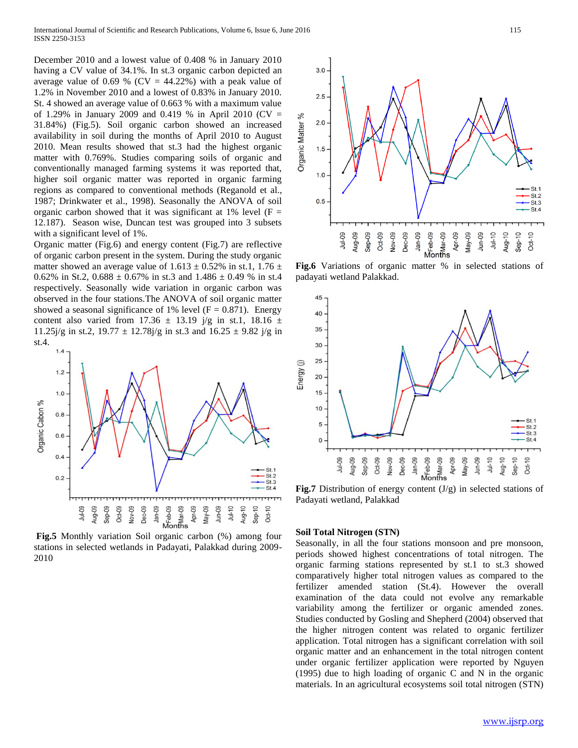December 2010 and a lowest value of 0.408 % in January 2010 having a CV value of 34.1%. In st.3 organic carbon depicted an average value of 0.69 % ( $CV = 44.22$ %) with a peak value of 1.2% in November 2010 and a lowest of 0.83% in January 2010. St. 4 showed an average value of 0.663 % with a maximum value of 1.29% in January 2009 and 0.419 % in April 2010 (CV = 31.84%) (Fig.5). Soil organic carbon showed an increased availability in soil during the months of April 2010 to August 2010. Mean results showed that st.3 had the highest organic matter with 0.769%. Studies comparing soils of organic and conventionally managed farming systems it was reported that, higher soil organic matter was reported in organic farming regions as compared to conventional methods (Reganold et al., 1987; Drinkwater et al., 1998). Seasonally the ANOVA of soil organic carbon showed that it was significant at 1% level  $(F =$ 12.187). Season wise, Duncan test was grouped into 3 subsets with a significant level of 1%.

Organic matter (Fig.6) and energy content (Fig.7) are reflective of organic carbon present in the system. During the study organic matter showed an average value of  $1.613 \pm 0.52\%$  in st.1,  $1.76 \pm 0.52\%$ 0.62% in St.2, 0.688  $\pm$  0.67% in st.3 and 1.486  $\pm$  0.49 % in st.4 respectively. Seasonally wide variation in organic carbon was observed in the four stations.The ANOVA of soil organic matter showed a seasonal significance of 1% level ( $F = 0.871$ ). Energy content also varied from 17.36  $\pm$  13.19 j/g in st.1, 18.16  $\pm$ 11.25j/g in st.2,  $19.77 \pm 12.78$ j/g in st.3 and  $16.25 \pm 9.82$  j/g in st.4.



**Fig.5** Monthly variation Soil organic carbon (%) among four stations in selected wetlands in Padayati, Palakkad during 2009- 2010



**Fig.6** Variations of organic matter % in selected stations of padayati wetland Palakkad.



**Fig.7** Distribution of energy content (J/g) in selected stations of Padayati wetland, Palakkad

#### **Soil Total Nitrogen (STN)**

Seasonally, in all the four stations monsoon and pre monsoon, periods showed highest concentrations of total nitrogen. The organic farming stations represented by st.1 to st.3 showed comparatively higher total nitrogen values as compared to the fertilizer amended station (St.4). However the overall examination of the data could not evolve any remarkable variability among the fertilizer or organic amended zones. Studies conducted by Gosling and Shepherd (2004) observed that the higher nitrogen content was related to organic fertilizer application. Total nitrogen has a significant correlation with soil organic matter and an enhancement in the total nitrogen content under organic fertilizer application were reported by Nguyen (1995) due to high loading of organic C and N in the organic materials. In an agricultural ecosystems soil total nitrogen (STN)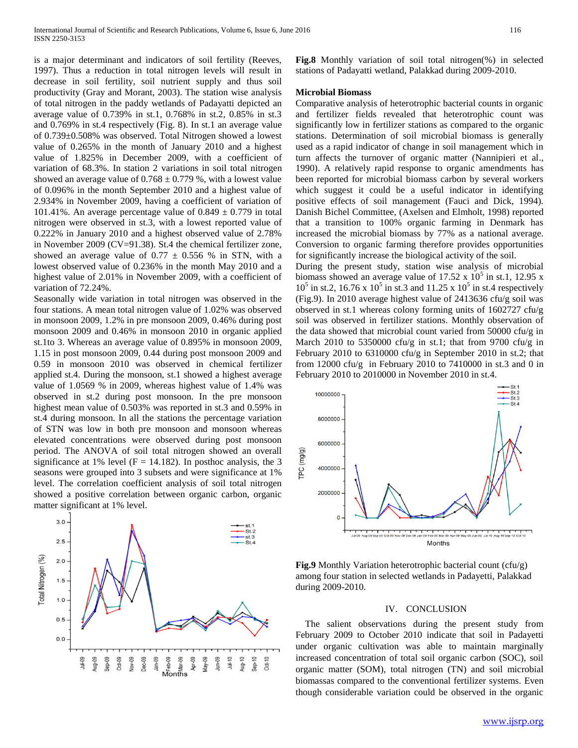is a major determinant and indicators of soil fertility (Reeves, 1997). Thus a reduction in total nitrogen levels will result in decrease in soil fertility, soil nutrient supply and thus soil productivity (Gray and Morant, 2003). The station wise analysis of total nitrogen in the paddy wetlands of Padayatti depicted an average value of 0.739% in st.1, 0.768% in st.2, 0.85% in st.3 and 0.769% in st.4 respectively (Fig. 8). In st.1 an average value of 0.739±0.508% was observed. Total Nitrogen showed a lowest value of 0.265% in the month of January 2010 and a highest value of 1.825% in December 2009, with a coefficient of variation of 68.3%. In station 2 variations in soil total nitrogen showed an average value of  $0.768 \pm 0.779$  %, with a lowest value of 0.096% in the month September 2010 and a highest value of 2.934% in November 2009, having a coefficient of variation of 101.41%. An average percentage value of  $0.849 \pm 0.779$  in total nitrogen were observed in st.3, with a lowest reported value of 0.222% in January 2010 and a highest observed value of 2.78% in November 2009 (CV=91.38). St.4 the chemical fertilizer zone, showed an average value of  $0.77 \pm 0.556$  % in STN, with a lowest observed value of 0.236% in the month May 2010 and a highest value of 2.01% in November 2009, with a coefficient of variation of 72.24%.

Seasonally wide variation in total nitrogen was observed in the four stations. A mean total nitrogen value of 1.02% was observed in monsoon 2009, 1.2% in pre monsoon 2009, 0.46% during post monsoon 2009 and 0.46% in monsoon 2010 in organic applied st.1to 3. Whereas an average value of 0.895% in monsoon 2009, 1.15 in post monsoon 2009, 0.44 during post monsoon 2009 and 0.59 in monsoon 2010 was observed in chemical fertilizer applied st.4. During the monsoon, st.1 showed a highest average value of 1.0569 % in 2009, whereas highest value of 1.4% was observed in st.2 during post monsoon. In the pre monsoon highest mean value of 0.503% was reported in st.3 and 0.59% in st.4 during monsoon. In all the stations the percentage variation of STN was low in both pre monsoon and monsoon whereas elevated concentrations were observed during post monsoon period. The ANOVA of soil total nitrogen showed an overall significance at 1% level ( $F = 14.182$ ). In posthoc analysis, the 3 seasons were grouped into 3 subsets and were significance at 1% level. The correlation coefficient analysis of soil total nitrogen showed a positive correlation between organic carbon, organic matter significant at 1% level.



**Fig.8** Monthly variation of soil total nitrogen(%) in selected stations of Padayatti wetland, Palakkad during 2009-2010.

#### **Microbial Biomass**

Comparative analysis of heterotrophic bacterial counts in organic and fertilizer fields revealed that heterotrophic count was significantly low in fertilizer stations as compared to the organic stations. Determination of soil microbial biomass is generally used as a rapid indicator of change in soil management which in turn affects the turnover of organic matter (Nannipieri et al., 1990). A relatively rapid response to organic amendments has been reported for microbial biomass carbon by several workers which suggest it could be a useful indicator in identifying positive effects of soil management (Fauci and Dick, 1994). Danish Bichel Committee, (Axelsen and Elmholt, 1998) reported that a transition to 100% organic farming in Denmark has increased the microbial biomass by 77% as a national average. Conversion to organic farming therefore provides opportunities for significantly increase the biological activity of the soil.

During the present study, station wise analysis of microbial biomass showed an average value of  $17.52 \times 10^5$  in st.1, 12.95 x  $10^5$  in st.2, 16.76 x  $10^5$  in st.3 and 11.25 x  $10^5$  in st.4 respectively (Fig.9). In 2010 average highest value of 2413636 cfu/g soil was observed in st.1 whereas colony forming units of 1602727 cfu/g soil was observed in fertilizer stations. Monthly observation of the data showed that microbial count varied from 50000 cfu/g in March 2010 to 5350000 cfu/g in st.1; that from 9700 cfu/g in February 2010 to 6310000 cfu/g in September 2010 in st.2; that from 12000 cfu/g in February 2010 to 7410000 in st.3 and 0 in February 2010 to 2010000 in November 2010 in st.4.



**Fig.9** Monthly Variation heterotrophic bacterial count (cfu/g) among four station in selected wetlands in Padayetti, Palakkad during 2009-2010.

#### IV. CONCLUSION

The salient observations during the present study from February 2009 to October 2010 indicate that soil in Padayetti under organic cultivation was able to maintain marginally increased concentration of total soil organic carbon (SOC), soil organic matter (SOM), total nitrogen (TN) and soil microbial biomassas compared to the conventional fertilizer systems. Even though considerable variation could be observed in the organic